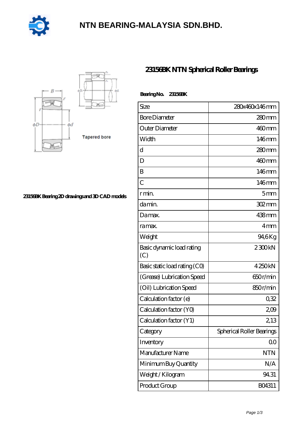

# **[NTN BEARING-MALAYSIA SDN.BHD.](https://bblc.tv)**



#### **[23156BK Bearing 2D drawings and 3D CAD models](https://bblc.tv/pic-1088770.html)**

### **[23156BK NTN Spherical Roller Bearings](https://bblc.tv/spherical-roller-bearings/23156bk.html)**

| Bearing No. 23156BK              |                           |
|----------------------------------|---------------------------|
| Size                             | 280x460x146mm             |
| <b>Bore Diameter</b>             | $280$ mm                  |
| Outer Diameter                   | $460$ mm                  |
| Width                            | 146mm                     |
| d                                | $280$ mm                  |
| D                                | $460$ mm                  |
| B                                | $146$ mm                  |
| $\overline{C}$                   | 146mm                     |
| r min.                           | 5 <sub>mm</sub>           |
| da min.                          | 302mm                     |
| Damax.                           | 438mm                     |
| ra max.                          | 4mm                       |
| Weight                           | 94,6Kg                    |
| Basic dynamic load rating<br>(C) | 2300kN                    |
| Basic static load rating (CO)    | 4250kN                    |
| (Grease) Lubrication Speed       | 650r/min                  |
| (Oil) Lubrication Speed          | 850r/min                  |
| Calculation factor (e)           | 0,32                      |
| Calculation factor (YO)          | 209                       |
| Calculation factor (Y1)          | 2, 13                     |
| Category                         | Spherical Roller Bearings |
| Inventory                        | 00                        |
| Manufacturer Name                | <b>NTN</b>                |
| Minimum Buy Quantity             | N/A                       |
| Weight / Kilogram                | 94.31                     |
| Product Group                    | BO4311                    |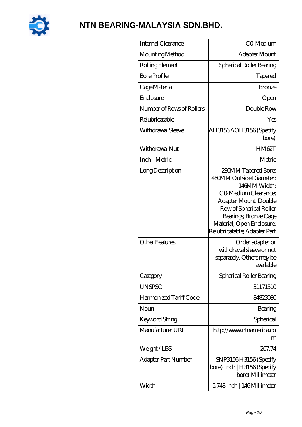

# **[NTN BEARING-MALAYSIA SDN.BHD.](https://bblc.tv)**

| Internal Clearance        | CO-Medium                                                                                                                                                                                                                        |
|---------------------------|----------------------------------------------------------------------------------------------------------------------------------------------------------------------------------------------------------------------------------|
| Mounting Method           | Adapter Mount                                                                                                                                                                                                                    |
| Rolling Element           | Spherical Roller Bearing                                                                                                                                                                                                         |
| <b>Bore Profile</b>       | Tapered                                                                                                                                                                                                                          |
| Cage Material             | <b>Bronze</b>                                                                                                                                                                                                                    |
| Enclosure                 | Open                                                                                                                                                                                                                             |
| Number of Rows of Rollers | Double Row                                                                                                                                                                                                                       |
| Relubricatable            | Yes                                                                                                                                                                                                                              |
| Withdrawal Sleeve         | AH3156AOH3156 (Specify<br>bore)                                                                                                                                                                                                  |
| Withdrawal Nut            | HM62T                                                                                                                                                                                                                            |
| Inch - Metric             | Metric                                                                                                                                                                                                                           |
| Long Description          | 280MM Tapered Bore;<br>460MM Outside Diameter;<br>146MM Width;<br>CO Medium Clearance;<br>Adapter Mount; Double<br>Row of Spherical Roller<br>Bearings; Bronze Cage<br>Material; Open Enclosure;<br>Relubricatable; Adapter Part |
| <b>Other Features</b>     | Order adapter or<br>withdrawal sleeve or nut<br>separately. Others may be<br>available                                                                                                                                           |
| Category                  | Spherical Roller Bearing                                                                                                                                                                                                         |
| <b>UNSPSC</b>             | 31171510                                                                                                                                                                                                                         |
| Harmonized Tariff Code    | 84823080                                                                                                                                                                                                                         |
| Noun                      | Bearing                                                                                                                                                                                                                          |
| Keyword String            | Spherical                                                                                                                                                                                                                        |
| Manufacturer URL          | http://www.ntnamerica.co<br>m                                                                                                                                                                                                    |
| Weight/LBS                | 207.74                                                                                                                                                                                                                           |
| Adapter Part Number       | SNP3156H3156 (Specify<br>bore) Inch   H3156 (Specify<br>bore) Millimeter                                                                                                                                                         |
| Width                     | 5.748Inch   146Millimeter                                                                                                                                                                                                        |